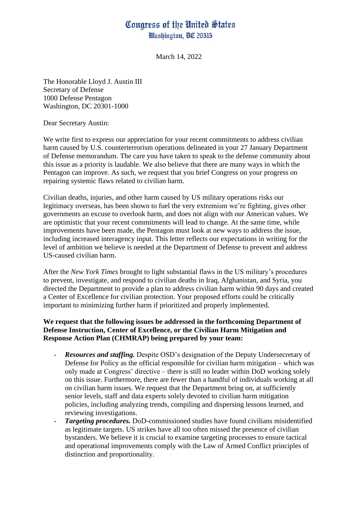## Congress of the United States Washington, DC 20515

March 14, 2022

The Honorable Lloyd J. Austin III Secretary of Defense 1000 Defense Pentagon Washington, DC 20301-1000

Dear Secretary Austin:

We write first to express our appreciation for your recent commitments to address civilian harm caused by U.S. counterterrorism operations delineated in your 27 January Department of Defense memorandum. The care you have taken to speak to the defense community about this issue as a priority is laudable. We also believe that there are many ways in which the Pentagon can improve. As such, we request that you brief Congress on your progress on repairing systemic flaws related to civilian harm.

Civilian deaths, injuries, and other harm caused by US military operations risks our legitimacy overseas, has been shown to fuel the very extremism we're fighting, gives other governments an excuse to overlook harm, and does not align with our American values. We are optimistic that your recent commitments will lead to change. At the same time, while improvements have been made, the Pentagon must look at new ways to address the issue, including increased interagency input. This letter reflects our expectations in writing for the level of ambition we believe is needed at the Department of Defense to prevent and address US-caused civilian harm.

After the *New York Times* brought to light substantial flaws in the US military's procedures to prevent, investigate, and respond to civilian deaths in Iraq, Afghanistan, and Syria, you directed the Department to provide a plan to address civilian harm within 90 days and created a Center of Excellence for civilian protection. Your proposed efforts could be critically important to minimizing further harm if prioritized and properly implemented.

## **We request that the following issues be addressed in the forthcoming Department of Defense Instruction, Center of Excellence, or the Civilian Harm Mitigation and Response Action Plan (CHMRAP) being prepared by your team:**

- *Resources and staffing.* Despite OSD's designation of the Deputy Undersecretary of Defense for Policy as the official responsible for civilian harm mitigation – which was only made at Congress' directive – there is still no leader within DoD working solely on this issue. Furthermore, there are fewer than a handful of individuals working at all on civilian harm issues. We request that the Department bring on, at sufficiently senior levels, staff and data experts solely devoted to civilian harm mitigation policies, including analyzing trends, compiling and dispersing lessons learned, and reviewing investigations.
- *Targeting procedures.* DoD-commissioned studies have found civilians misidentified as legitimate targets. US strikes have all too often missed the presence of civilian bystanders. We believe it is crucial to examine targeting processes to ensure tactical and operational improvements comply with the Law of Armed Conflict principles of distinction and proportionality.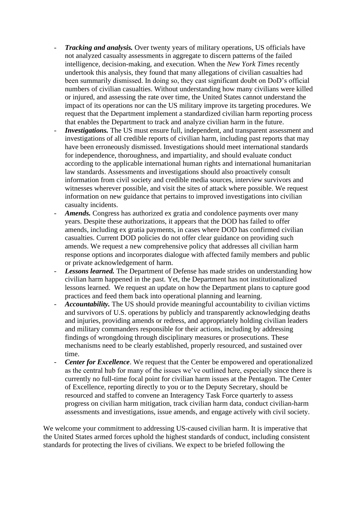- *Tracking and analysis.* Over twenty years of military operations, US officials have not analyzed casualty assessments in aggregate to discern patterns of the failed intelligence, decision-making, and execution. When the *New York Times* recently undertook this analysis, they found that many allegations of civilian casualties had been summarily dismissed. In doing so, they cast significant doubt on DoD's official numbers of civilian casualties. Without understanding how many civilians were killed or injured, and assessing the rate over time, the United States cannot understand the impact of its operations nor can the US military improve its targeting procedures. We request that the Department implement a standardized civilian harm reporting process that enables the Department to track and analyze civilian harm in the future.
- *Investigations*. The US must ensure full, independent, and transparent assessment and investigations of all credible reports of civilian harm, including past reports that may have been erroneously dismissed. Investigations should meet international standards for independence, thoroughness, and impartiality, and should evaluate conduct according to the applicable international human rights and international humanitarian law standards. Assessments and investigations should also proactively consult information from civil society and credible media sources, interview survivors and witnesses wherever possible, and visit the sites of attack where possible. We request information on new guidance that pertains to improved investigations into civilian casualty incidents.
- *Amends.* Congress has authorized ex gratia and condolence payments over many years. Despite these authorizations, it appears that the DOD has failed to offer amends, including ex gratia payments, in cases where DOD has confirmed civilian casualties. Current DOD policies do not offer clear guidance on providing such amends. We request a new comprehensive policy that addresses all civilian harm response options and incorporates dialogue with affected family members and public or private acknowledgement of harm.
- *Lessons learned.* The Department of Defense has made strides on understanding how civilian harm happened in the past. Yet, the Department has not institutionalized lessons learned. We request an update on how the Department plans to capture good practices and feed them back into operational planning and learning.
- Accountability. The US should provide meaningful accountability to civilian victims and survivors of U.S. operations by publicly and transparently acknowledging deaths and injuries, providing amends or redress, and appropriately holding civilian leaders and military commanders responsible for their actions, including by addressing findings of wrongdoing through disciplinary measures or prosecutions. These mechanisms need to be clearly established, properly resourced, and sustained over time.
- *Center for Excellence*. We request that the Center be empowered and operationalized as the central hub for many of the issues we've outlined here, especially since there is currently no full-time focal point for civilian harm issues at the Pentagon. The Center of Excellence, reporting directly to you or to the Deputy Secretary, should be resourced and staffed to convene an Interagency Task Force quarterly to assess progress on civilian harm mitigation, track civilian harm data, conduct civilian-harm assessments and investigations, issue amends, and engage actively with civil society.

We welcome your commitment to addressing US-caused civilian harm. It is imperative that the United States armed forces uphold the highest standards of conduct, including consistent standards for protecting the lives of civilians. We expect to be briefed following the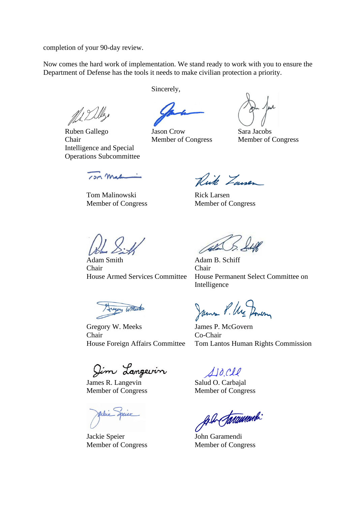completion of your 90-day review.

Now comes the hard work of implementation. We stand ready to work with you to ensure the Department of Defense has the tools it needs to make civilian protection a priority.

ALL Delles

Ruben Gallego Jason Crow Sara Jacobs Chair Member of Congress Member of Congress Intelligence and Special Operations Subcommittee

Sincerely,

13M Male

Tom Malinowski Rick Larsen Member of Congress Member of Congress

Rick Zawer

Adam Smith Adam B. Schiff Chair Chair

egory Willeton

Gregory W. Meeks James P. McGovern Chair Co-Chair

Jim Langevin

James R. Langevin Salud O. Carbajal Member of Congress Member of Congress

Jackie Speier John Garamendi Member of Congress Member of Congress

House Armed Services Committee House Permanent Select Committee on Intelligence

James P. Ure Dowen

House Foreign Affairs Committee Tom Lantos Human Rights Commission

110 Cle

Ale Jarament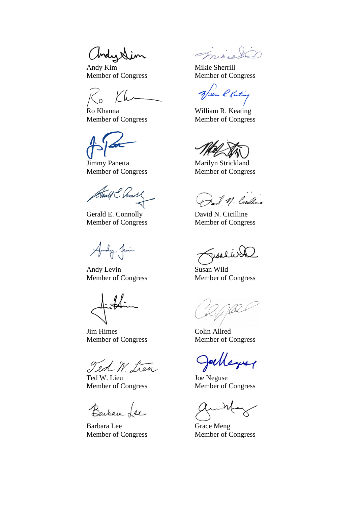Chronix

Andy Kim Mikie Sherrill Member of Congress Member of Congress

Ro Khanna William R. Keating

Jimmy Panetta Marilyn Strickland Member of Congress Member of Congress

Tentif C. Connoll

Gerald E. Connolly David N. Cicilline Member of Congress Member of Congress

Andy Levin Susan Wild Member of Congress Member of Congress

Jim Himes Colin Allred Member of Congress Member of Congress

Ted W. Lien

Ted W. Lieu Joe Neguse Member of Congress Member of Congress

Barban Lee

Barbara Lee Grace Meng Member of Congress Member of Congress

mirie

of filin R. Kenting

Member of Congress Member of Congress

I.M. Centlere

usal

yes